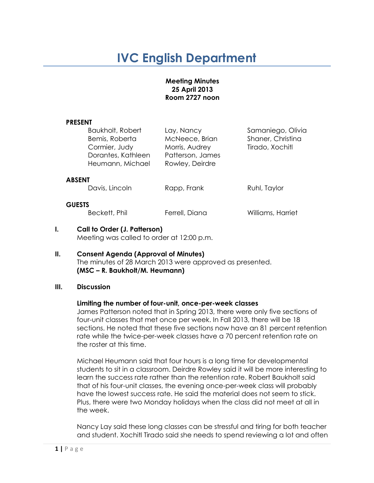# **IVC English Department**

#### **Meeting Minutes 25 April 2013 Room 2727 noon**

#### **PRESENT**

|               | <b>Baukholt, Robert</b> | Lay, Nancy       | Samaniego, Olivia |
|---------------|-------------------------|------------------|-------------------|
|               | Bemis, Roberta          | McNeece, Brian   | Shaner, Christina |
|               | Cormier, Judy           | Morris, Audrey   | Tirado, Xochitl   |
|               | Dorantes, Kathleen      | Patterson, James |                   |
|               | Heumann, Michael        | Rowley, Deirdre  |                   |
| <b>ABSENT</b> |                         |                  |                   |
|               | Davis, Lincoln          | Rapp, Frank      | Ruhl, Taylor      |

Williams, Harriet

#### **GUESTS**

| Beckett, Phil | Ferrell, Diana |
|---------------|----------------|

#### **I. Call to Order (J. Patterson)** Meeting was called to order at 12:00 p.m.

#### **II. Consent Agenda (Approval of Minutes)** The minutes of 28 March 2013 were approved as presented. **(MSC – R. Baukholt/M. Heumann)**

## **III. Discussion**

## **Limiting the number of four-unit, once-per-week classes**

James Patterson noted that in Spring 2013, there were only five sections of four-unit classes that met once per week. In Fall 2013, there will be 18 sections. He noted that these five sections now have an 81 percent retention rate while the twice-per-week classes have a 70 percent retention rate on the roster at this time.

Michael Heumann said that four hours is a long time for developmental students to sit in a classroom. Deirdre Rowley said it will be more interesting to learn the success rate rather than the retention rate. Robert Baukholt said that of his four-unit classes, the evening once-per-week class will probably have the lowest success rate. He said the material does not seem to stick. Plus, there were two Monday holidays when the class did not meet at all in the week.

Nancy Lay said these long classes can be stressful and tiring for both teacher and student. Xochitl Tirado said she needs to spend reviewing a lot and often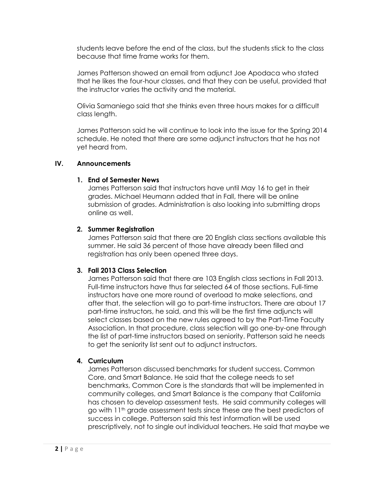students leave before the end of the class, but the students stick to the class because that time frame works for them.

James Patterson showed an email from adjunct Joe Apodaca who stated that he likes the four-hour classes, and that they can be useful, provided that the instructor varies the activity and the material.

Olivia Samaniego said that she thinks even three hours makes for a difficult class length.

James Patterson said he will continue to look into the issue for the Spring 2014 schedule. He noted that there are some adjunct instructors that he has not yet heard from.

## **IV. Announcements**

## **1. End of Semester News**

James Patterson said that instructors have until May 16 to get in their grades. Michael Heumann added that in Fall, there will be online submission of grades. Administration is also looking into submitting drops online as well.

#### **2. Summer Registration**

James Patterson said that there are 20 English class sections available this summer. He said 36 percent of those have already been filled and registration has only been opened three days.

## **3. Fall 2013 Class Selection**

James Patterson said that there are 103 English class sections in Fall 2013. Full-time instructors have thus far selected 64 of those sections. Full-time instructors have one more round of overload to make selections, and after that, the selection will go to part-time instructors. There are about 17 part-time instructors, he said, and this will be the first time adjuncts will select classes based on the new rules agreed to by the Part-Time Faculty Association. In that procedure, class selection will go one-by-one through the list of part-time instructors based on seniority. Patterson said he needs to get the seniority list sent out to adjunct instructors.

## **4. Curriculum**

James Patterson discussed benchmarks for student success, Common Core, and Smart Balance. He said that the college needs to set benchmarks, Common Core is the standards that will be implemented in community colleges, and Smart Balance is the company that California has chosen to develop assessment tests. He said community colleges will go with 11th grade assessment tests since these are the best predictors of success in college. Patterson said this test information will be used prescriptively, not to single out individual teachers. He said that maybe we